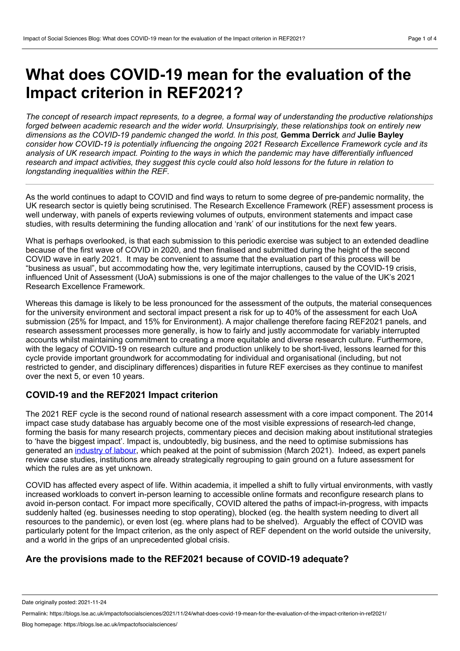## **What does COVID-19 mean for the evaluation of the Impact criterion in REF2021?**

The concept of research impact represents, to a degree, a formal way of understanding the productive relationships *forged between academic research and the wider world. Unsurprisingly, these relationships took on entirely new dimensions as the COVID-19 pandemic changed the world. In this post,* **Gemma Derrick** *and* **Julie Bayley** *consider how COVID-19 is potentially influencing the ongoing 2021 Research Excellence Framework cycle and its* analysis of UK research impact. Pointing to the ways in which the pandemic may have differentially influenced research and impact activities, they suggest this cycle could also hold lessons for the future in relation to *longstanding inequalities within the REF.*

As the world continues to adapt to COVID and find ways to return to some degree of pre-pandemic normality, the UK research sector is quietly being scrutinised. The Research Excellence Framework (REF) assessment process is well underway, with panels of experts reviewing volumes of outputs, environment statements and impact case studies, with results determining the funding allocation and 'rank' of our institutions for the next few years.

What is perhaps overlooked, is that each submission to this periodic exercise was subject to an extended deadline because of the first wave of COVID in 2020, and then finalised and submitted during the height of the second COVID wave in early 2021. It may be convenient to assume that the evaluation part of this process will be "business as usual", but accommodating how the, very legitimate interruptions, caused by the COVID-19 crisis, influenced Unit of Assessment (UoA) submissions is one of the major challenges to the value of the UK's 2021 Research Excellence Framework.

Whereas this damage is likely to be less pronounced for the assessment of the outputs, the material consequences for the university environment and sectoral impact present a risk for up to 40% of the assessment for each UoA submission (25% for Impact, and 15% for Environment). A major challenge therefore facing REF2021 panels, and research assessment processes more generally, is how to fairly and justly accommodate for variably interrupted accounts whilst maintaining commitment to creating a more equitable and diverse research culture. Furthermore, with the legacy of COVID-19 on research culture and production unlikely to be short-lived, lessons learned for this cycle provide important groundwork for accommodating for individual and organisational (including, but not restricted to gender, and disciplinary differences) disparities in future REF exercises as they continue to manifest over the next 5, or even 10 years.

## **COVID-19 and the REF2021 Impact criterion**

The 2021 REF cycle is the second round of national research assessment with a core impact component. The 2014 impact case study database has arguably become one of the most visible expressions of research-led change, forming the basis for many research projects, commentary pieces and decision making about institutional strategies to 'have the biggest impact'. Impact is, undoubtedly, big business, and the need to optimise submissions has generated an [industry](https://blogs.lse.ac.uk/impactofsocialsciences/2021/06/14/industry-not-harvest-principles-to-minimise-collateral-damage-in-impact-assessment-at-scale/) of labour, which peaked at the point of submission (March 2021). Indeed, as expert panels review case studies, institutions are already strategically regrouping to gain ground on a future assessment for which the rules are as yet unknown.

COVID has affected every aspect of life. Within academia, it impelled a shift to fully virtual environments, with vastly increased workloads to convert in-person learning to accessible online formats and reconfigure research plans to avoid in-person contact. For impact more specifically, COVID altered the paths of impact-in-progress, with impacts suddenly halted (eg. businesses needing to stop operating), blocked (eg. the health system needing to divert all resources to the pandemic), or even lost (eg. where plans had to be shelved). Arguably the effect of COVID was particularly potent for the Impact criterion, as the only aspect of REF dependent on the world outside the university, and a world in the grips of an unprecedented global crisis.

## **Are the provisions made to the REF2021 because of COVID-19 adequate?**

Date originally posted: 2021-11-24

Permalink: https://blogs.lse.ac.uk/impactofsocialsciences/2021/11/24/what-does-covid-19-mean-for-the-evaluation-of-the-impact-criterion-in-ref2021/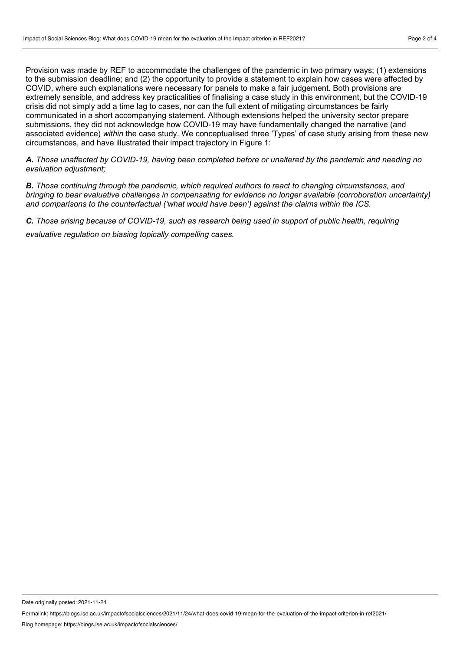Provision was made by REF to accommodate the challenges of the pandemic in two primary ways; (1) extensions to the submission deadline; and (2) the opportunity to provide a statement to explain how cases were affected by COVID, where such explanations were necessary for panels to make a fair judgement. Both provisions are extremely sensible, and address key practicalities of finalising a case study in this environment, but the COVID-19 crisis did not simply add a time lag to cases, nor can the full extent of mitigating circumstances be fairly communicated in a short accompanying statement. Although extensions helped the university sector prepare submissions, they did not acknowledge how COVID-19 may have fundamentally changed the narrative (and associated evidence) *within* the case study. We conceptualised three 'Types' of case study arising from these new circumstances, and have illustrated their impact trajectory in Figure 1:

*A. Those unaffected by COVID-19, having been completed before or unaltered by the pandemic and needing no evaluation adjustment;*

*B. Those continuing through the pandemic, which required authors to react to changing circumstances, and bringing to bear evaluative challenges in compensating for evidence no longer available (corroboration uncertainty) and comparisons to the counterfactual ('what would have been') against the claims within the ICS.*

*C. Those arising because of COVID-19, such as research being used in support of public health, requiring evaluative regulation on biasing topically compelling cases.*

Date originally posted: 2021-11-24

Permalink: https://blogs.lse.ac.uk/impactofsocialsciences/2021/11/24/what-does-covid-19-mean-for-the-evaluation-of-the-impact-criterion-in-ref2021/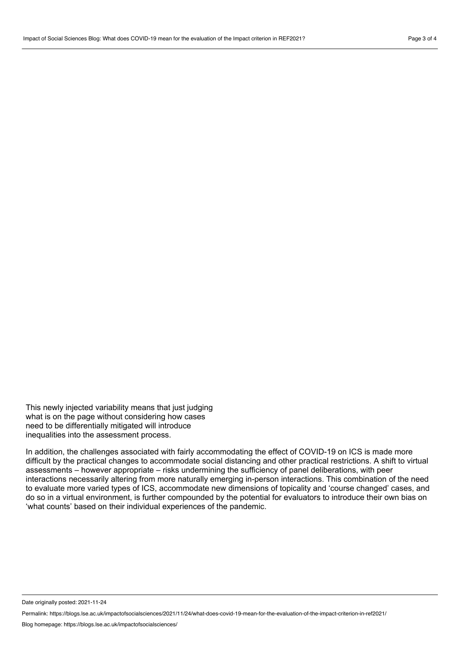This newly injected variability means that just judging what is on the page without considering how cases need to be differentially mitigated will introduce inequalities into the assessment process.

In addition, the challenges associated with fairly accommodating the effect of COVID-19 on ICS is made more difficult by the practical changes to accommodate social distancing and other practical restrictions. A shift to virtual assessments – however appropriate – risks undermining the sufficiency of panel deliberations, with peer interactions necessarily altering from more naturally emerging in-person interactions. This combination of the need to evaluate more varied types of ICS, accommodate new dimensions of topicality and 'course changed' cases, and do so in a virtual environment, is further compounded by the potential for evaluators to introduce their own bias on 'what counts' based on their individual experiences of the pandemic.

Date originally posted: 2021-11-24

Permalink: https://blogs.lse.ac.uk/impactofsocialsciences/2021/11/24/what-does-covid-19-mean-for-the-evaluation-of-the-impact-criterion-in-ref2021/